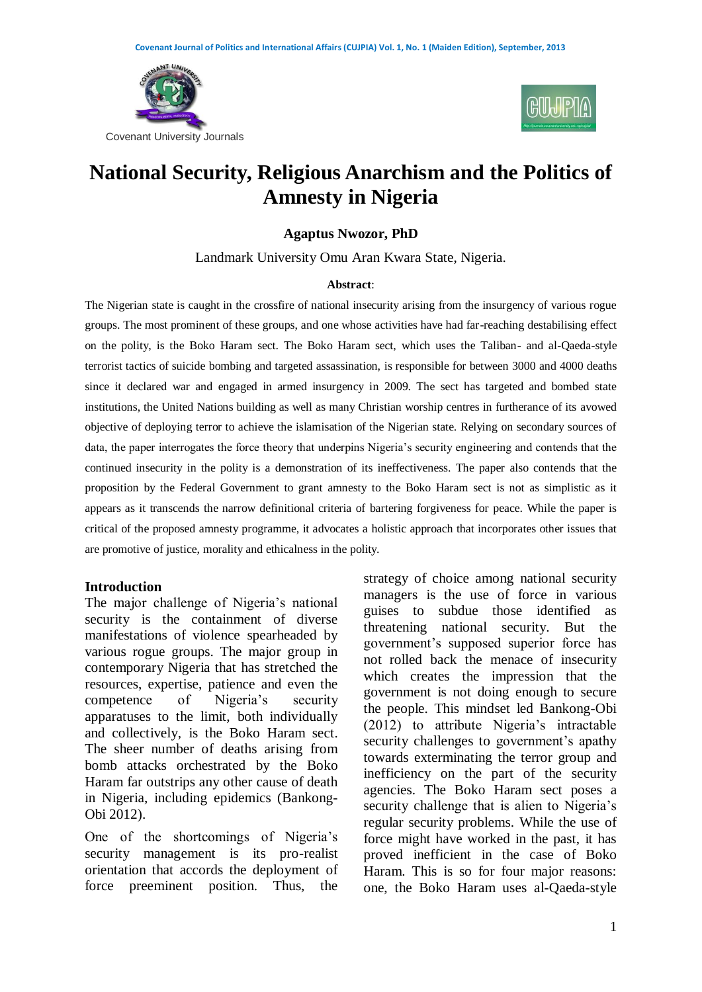



# **National Security, Religious Anarchism and the Politics of Amnesty in Nigeria**

#### **Agaptus Nwozor, PhD**

Landmark University Omu Aran Kwara State, Nigeria.

#### **Abstract**:

The Nigerian state is caught in the crossfire of national insecurity arising from the insurgency of various rogue groups. The most prominent of these groups, and one whose activities have had far-reaching destabilising effect on the polity, is the Boko Haram sect. The Boko Haram sect, which uses the Taliban- and al-Qaeda-style terrorist tactics of suicide bombing and targeted assassination, is responsible for between 3000 and 4000 deaths since it declared war and engaged in armed insurgency in 2009. The sect has targeted and bombed state institutions, the United Nations building as well as many Christian worship centres in furtherance of its avowed objective of deploying terror to achieve the islamisation of the Nigerian state. Relying on secondary sources of data, the paper interrogates the force theory that underpins Nigeria's security engineering and contends that the continued insecurity in the polity is a demonstration of its ineffectiveness. The paper also contends that the proposition by the Federal Government to grant amnesty to the Boko Haram sect is not as simplistic as it appears as it transcends the narrow definitional criteria of bartering forgiveness for peace. While the paper is critical of the proposed amnesty programme, it advocates a holistic approach that incorporates other issues that are promotive of justice, morality and ethicalness in the polity.

#### **Introduction**

The major challenge of Nigeria's national security is the containment of diverse manifestations of violence spearheaded by various rogue groups. The major group in contemporary Nigeria that has stretched the resources, expertise, patience and even the competence of Nigeria's security apparatuses to the limit, both individually and collectively, is the Boko Haram sect. The sheer number of deaths arising from bomb attacks orchestrated by the Boko Haram far outstrips any other cause of death in Nigeria, including epidemics (Bankong-Obi 2012).

One of the shortcomings of Nigeria's security management is its pro-realist orientation that accords the deployment of force preeminent position. Thus, the strategy of choice among national security managers is the use of force in various guises to subdue those identified as threatening national security. But the government's supposed superior force has not rolled back the menace of insecurity which creates the impression that the government is not doing enough to secure the people. This mindset led Bankong-Obi (2012) to attribute Nigeria's intractable security challenges to government's apathy towards exterminating the terror group and inefficiency on the part of the security agencies. The Boko Haram sect poses a security challenge that is alien to Nigeria's regular security problems. While the use of force might have worked in the past, it has proved inefficient in the case of Boko Haram. This is so for four major reasons: one, the Boko Haram uses al-Qaeda-style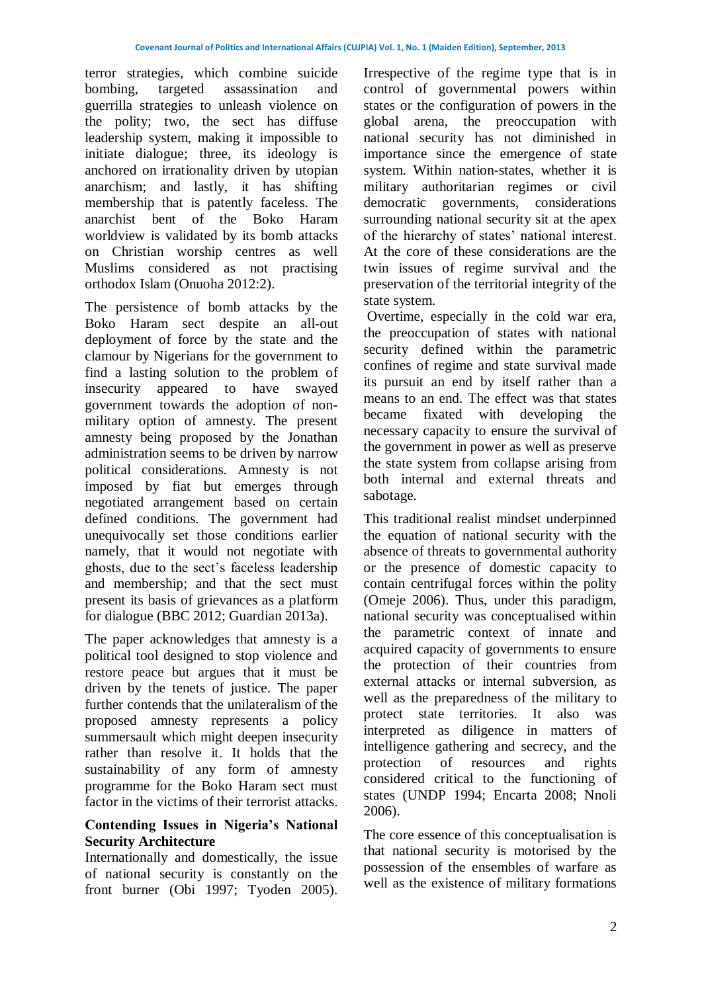terror strategies, which combine suicide bombing, targeted assassination and guerrilla strategies to unleash violence on the polity; two, the sect has diffuse leadership system, making it impossible to initiate dialogue; three, its ideology is anchored on irrationality driven by utopian anarchism; and lastly, it has shifting membership that is patently faceless. The anarchist bent of the Boko Haram worldview is validated by its bomb attacks on Christian worship centres as well Muslims considered as not practising orthodox Islam (Onuoha 2012:2).

The persistence of bomb attacks by the Boko Haram sect despite an all-out deployment of force by the state and the clamour by Nigerians for the government to find a lasting solution to the problem of insecurity appeared to have swayed government towards the adoption of nonmilitary option of amnesty. The present amnesty being proposed by the Jonathan administration seems to be driven by narrow political considerations. Amnesty is not imposed by fiat but emerges through negotiated arrangement based on certain defined conditions. The government had unequivocally set those conditions earlier namely, that it would not negotiate with ghosts, due to the sect's faceless leadership and membership; and that the sect must present its basis of grievances as a platform for dialogue (BBC 2012; Guardian 2013a).

The paper acknowledges that amnesty is a political tool designed to stop violence and restore peace but argues that it must be driven by the tenets of justice. The paper further contends that the unilateralism of the proposed amnesty represents a policy summersault which might deepen insecurity rather than resolve it. It holds that the sustainability of any form of amnesty programme for the Boko Haram sect must factor in the victims of their terrorist attacks.

#### **Contending Issues in Nigeria's National Security Architecture**

Internationally and domestically, the issue of national security is constantly on the front burner (Obi 1997; Tyoden 2005).

Irrespective of the regime type that is in control of governmental powers within states or the configuration of powers in the global arena, the preoccupation with national security has not diminished in importance since the emergence of state system. Within nation-states, whether it is military authoritarian regimes or civil democratic governments, considerations surrounding national security sit at the apex of the hierarchy of states' national interest. At the core of these considerations are the twin issues of regime survival and the preservation of the territorial integrity of the state system.

Overtime, especially in the cold war era, the preoccupation of states with national security defined within the parametric confines of regime and state survival made its pursuit an end by itself rather than a means to an end. The effect was that states became fixated with developing the necessary capacity to ensure the survival of the government in power as well as preserve the state system from collapse arising from both internal and external threats and sabotage.

This traditional realist mindset underpinned the equation of national security with the absence of threats to governmental authority or the presence of domestic capacity to contain centrifugal forces within the polity (Omeje 2006). Thus, under this paradigm, national security was conceptualised within the parametric context of innate and acquired capacity of governments to ensure the protection of their countries from external attacks or internal subversion, as well as the preparedness of the military to protect state territories. It also was interpreted as diligence in matters of intelligence gathering and secrecy, and the protection of resources and rights considered critical to the functioning of states (UNDP 1994; Encarta 2008; Nnoli 2006).

The core essence of this conceptualisation is that national security is motorised by the possession of the ensembles of warfare as well as the existence of military formations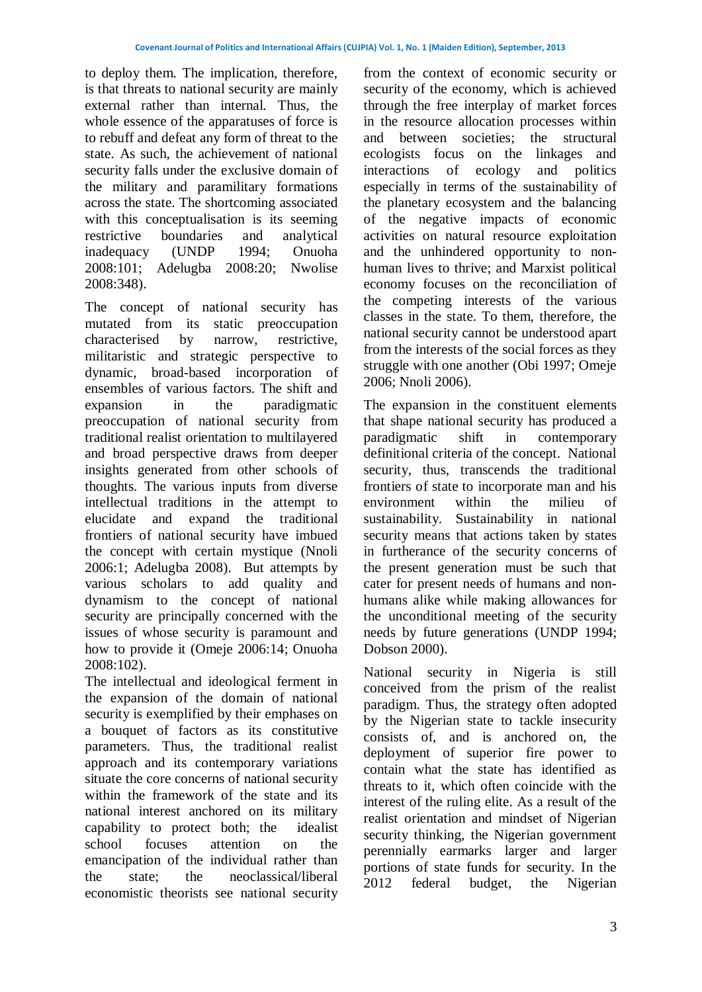to deploy them. The implication, therefore, is that threats to national security are mainly external rather than internal. Thus, the whole essence of the apparatuses of force is to rebuff and defeat any form of threat to the state. As such, the achievement of national security falls under the exclusive domain of the military and paramilitary formations across the state. The shortcoming associated with this conceptualisation is its seeming restrictive boundaries and analytical inadequacy (UNDP 1994; Onuoha 2008:101; Adelugba 2008:20; Nwolise 2008:348).

The concept of national security has mutated from its static preoccupation characterised by narrow, restrictive, militaristic and strategic perspective to dynamic, broad-based incorporation of ensembles of various factors. The shift and expansion in the paradigmatic preoccupation of national security from traditional realist orientation to multilayered and broad perspective draws from deeper insights generated from other schools of thoughts. The various inputs from diverse intellectual traditions in the attempt to elucidate and expand the traditional frontiers of national security have imbued the concept with certain mystique (Nnoli 2006:1; Adelugba 2008). But attempts by various scholars to add quality and dynamism to the concept of national security are principally concerned with the issues of whose security is paramount and how to provide it (Omeje 2006:14; Onuoha 2008:102).

The intellectual and ideological ferment in the expansion of the domain of national security is exemplified by their emphases on a bouquet of factors as its constitutive parameters. Thus, the traditional realist approach and its contemporary variations situate the core concerns of national security within the framework of the state and its national interest anchored on its military capability to protect both; the idealist school focuses attention on the emancipation of the individual rather than the state; the neoclassical/liberal economistic theorists see national security

from the context of economic security or security of the economy, which is achieved through the free interplay of market forces in the resource allocation processes within and between societies; the structural ecologists focus on the linkages and interactions of ecology and politics especially in terms of the sustainability of the planetary ecosystem and the balancing of the negative impacts of economic activities on natural resource exploitation and the unhindered opportunity to nonhuman lives to thrive; and Marxist political economy focuses on the reconciliation of the competing interests of the various classes in the state. To them, therefore, the national security cannot be understood apart from the interests of the social forces as they struggle with one another (Obi 1997; Omeje 2006; Nnoli 2006).

The expansion in the constituent elements that shape national security has produced a paradigmatic shift in contemporary definitional criteria of the concept. National security, thus, transcends the traditional frontiers of state to incorporate man and his environment within the milieu of sustainability. Sustainability in national security means that actions taken by states in furtherance of the security concerns of the present generation must be such that cater for present needs of humans and nonhumans alike while making allowances for the unconditional meeting of the security needs by future generations (UNDP 1994; Dobson 2000).

National security in Nigeria is still conceived from the prism of the realist paradigm. Thus, the strategy often adopted by the Nigerian state to tackle insecurity consists of, and is anchored on, the deployment of superior fire power to contain what the state has identified as threats to it, which often coincide with the interest of the ruling elite. As a result of the realist orientation and mindset of Nigerian security thinking, the Nigerian government perennially earmarks larger and larger portions of state funds for security. In the 2012 federal budget, the Nigerian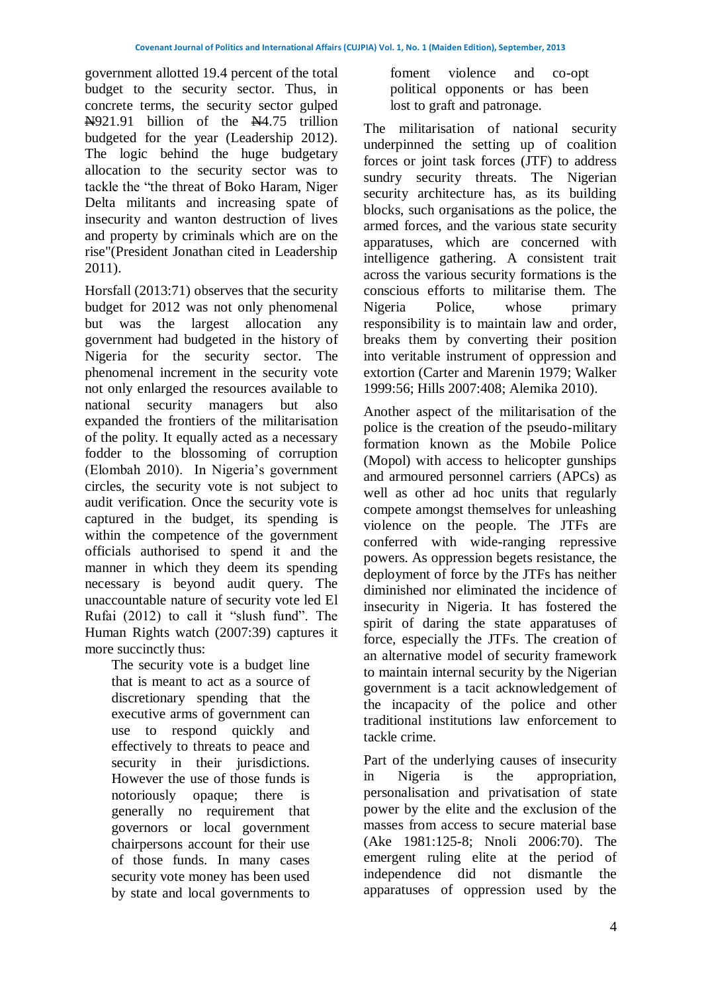government allotted 19.4 percent of the total budget to the security sector. Thus, in concrete terms, the security sector gulped N921.91 billion of the N4.75 trillion budgeted for the year (Leadership 2012). The logic behind the huge budgetary allocation to the security sector was to tackle the "the threat of Boko Haram, Niger Delta militants and increasing spate of insecurity and wanton destruction of lives and property by criminals which are on the rise"(President Jonathan cited in Leadership 2011).

Horsfall (2013:71) observes that the security budget for 2012 was not only phenomenal but was the largest allocation any government had budgeted in the history of Nigeria for the security sector. The phenomenal increment in the security vote not only enlarged the resources available to national security managers but also expanded the frontiers of the militarisation of the polity. It equally acted as a necessary fodder to the blossoming of corruption (Elombah 2010). In Nigeria's government circles, the security vote is not subject to audit verification. Once the security vote is captured in the budget, its spending is within the competence of the government officials authorised to spend it and the manner in which they deem its spending necessary is beyond audit query. The unaccountable nature of security vote led El Rufai (2012) to call it "slush fund". The Human Rights watch (2007:39) captures it more succinctly thus:

The security vote is a budget line that is meant to act as a source of discretionary spending that the executive arms of government can use to respond quickly and effectively to threats to peace and security in their jurisdictions. However the use of those funds is notoriously opaque; there is generally no requirement that governors or local government chairpersons account for their use of those funds. In many cases security vote money has been used by state and local governments to

foment violence and co-opt political opponents or has been lost to graft and patronage.

The militarisation of national security underpinned the setting up of coalition forces or joint task forces (JTF) to address sundry security threats. The Nigerian security architecture has, as its building blocks, such organisations as the police, the armed forces, and the various state security apparatuses, which are concerned with intelligence gathering. A consistent trait across the various security formations is the conscious efforts to militarise them. The Nigeria Police, whose primary responsibility is to maintain law and order, breaks them by converting their position into veritable instrument of oppression and extortion (Carter and Marenin 1979; Walker 1999:56; Hills 2007:408; Alemika 2010).

Another aspect of the militarisation of the police is the creation of the pseudo-military formation known as the Mobile Police (Mopol) with access to helicopter gunships and armoured personnel carriers (APCs) as well as other ad hoc units that regularly compete amongst themselves for unleashing violence on the people. The JTFs are conferred with wide-ranging repressive powers. As oppression begets resistance, the deployment of force by the JTFs has neither diminished nor eliminated the incidence of insecurity in Nigeria. It has fostered the spirit of daring the state apparatuses of force, especially the JTFs. The creation of an alternative model of security framework to maintain internal security by the Nigerian government is a tacit acknowledgement of the incapacity of the police and other traditional institutions law enforcement to tackle crime.

Part of the underlying causes of insecurity in Nigeria is the appropriation, personalisation and privatisation of state power by the elite and the exclusion of the masses from access to secure material base (Ake 1981:125-8; Nnoli 2006:70). The emergent ruling elite at the period of independence did not dismantle the apparatuses of oppression used by the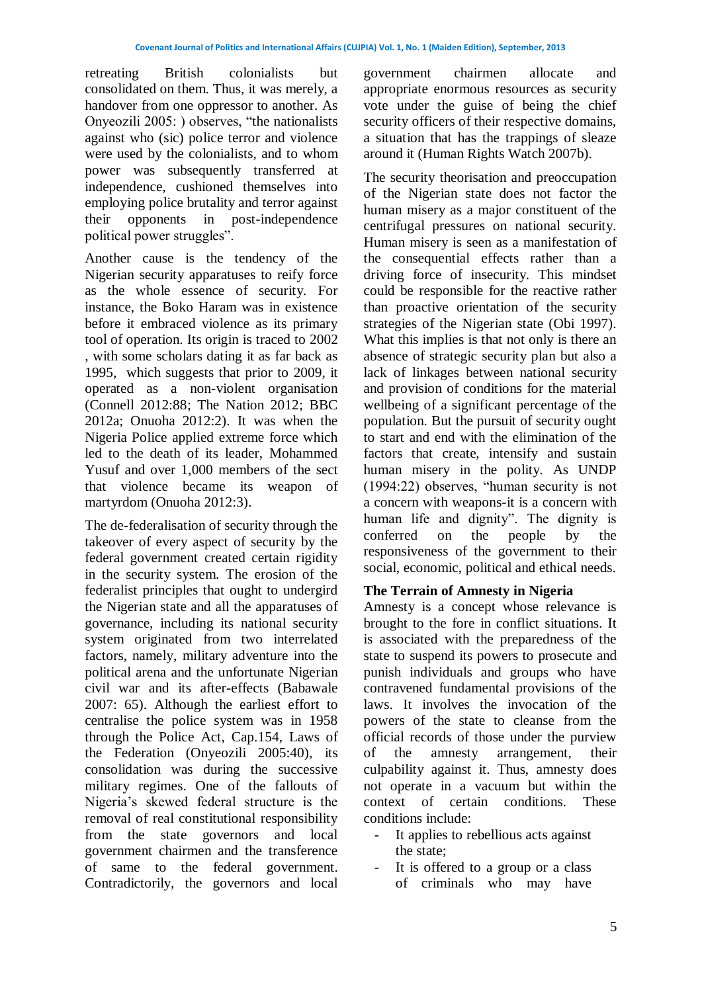retreating British colonialists but consolidated on them. Thus, it was merely, a handover from one oppressor to another. As Onyeozili 2005: ) observes, "the nationalists against who (sic) police terror and violence were used by the colonialists, and to whom power was subsequently transferred at independence, cushioned themselves into employing police brutality and terror against their opponents in post-independence political power struggles".

Another cause is the tendency of the Nigerian security apparatuses to reify force as the whole essence of security. For instance, the Boko Haram was in existence before it embraced violence as its primary tool of operation. Its origin is traced to 2002 , with some scholars dating it as far back as 1995, which suggests that prior to 2009, it operated as a non-violent organisation (Connell 2012:88; The Nation 2012; BBC 2012a; Onuoha 2012:2). It was when the Nigeria Police applied extreme force which led to the death of its leader, Mohammed Yusuf and over 1,000 members of the sect that violence became its weapon of martyrdom (Onuoha 2012:3).

The de-federalisation of security through the takeover of every aspect of security by the federal government created certain rigidity in the security system. The erosion of the federalist principles that ought to undergird the Nigerian state and all the apparatuses of governance, including its national security system originated from two interrelated factors, namely, military adventure into the political arena and the unfortunate Nigerian civil war and its after-effects (Babawale 2007: 65). Although the earliest effort to centralise the police system was in 1958 through the Police Act, Cap.154, Laws of the Federation (Onyeozili 2005:40), its consolidation was during the successive military regimes. One of the fallouts of Nigeria's skewed federal structure is the removal of real constitutional responsibility from the state governors and local government chairmen and the transference of same to the federal government. Contradictorily, the governors and local

government chairmen allocate and appropriate enormous resources as security vote under the guise of being the chief security officers of their respective domains, a situation that has the trappings of sleaze around it (Human Rights Watch 2007b).

The security theorisation and preoccupation of the Nigerian state does not factor the human misery as a major constituent of the centrifugal pressures on national security. Human misery is seen as a manifestation of the consequential effects rather than a driving force of insecurity. This mindset could be responsible for the reactive rather than proactive orientation of the security strategies of the Nigerian state (Obi 1997). What this implies is that not only is there an absence of strategic security plan but also a lack of linkages between national security and provision of conditions for the material wellbeing of a significant percentage of the population. But the pursuit of security ought to start and end with the elimination of the factors that create, intensify and sustain human misery in the polity. As UNDP (1994:22) observes, "human security is not a concern with weapons-it is a concern with human life and dignity". The dignity is conferred on the people by the responsiveness of the government to their social, economic, political and ethical needs.

## **The Terrain of Amnesty in Nigeria**

Amnesty is a concept whose relevance is brought to the fore in conflict situations. It is associated with the preparedness of the state to suspend its powers to prosecute and punish individuals and groups who have contravened fundamental provisions of the laws. It involves the invocation of the powers of the state to cleanse from the official records of those under the purview of the amnesty arrangement, their culpability against it. Thus, amnesty does not operate in a vacuum but within the context of certain conditions. These conditions include:

- It applies to rebellious acts against the state;
- It is offered to a group or a class of criminals who may have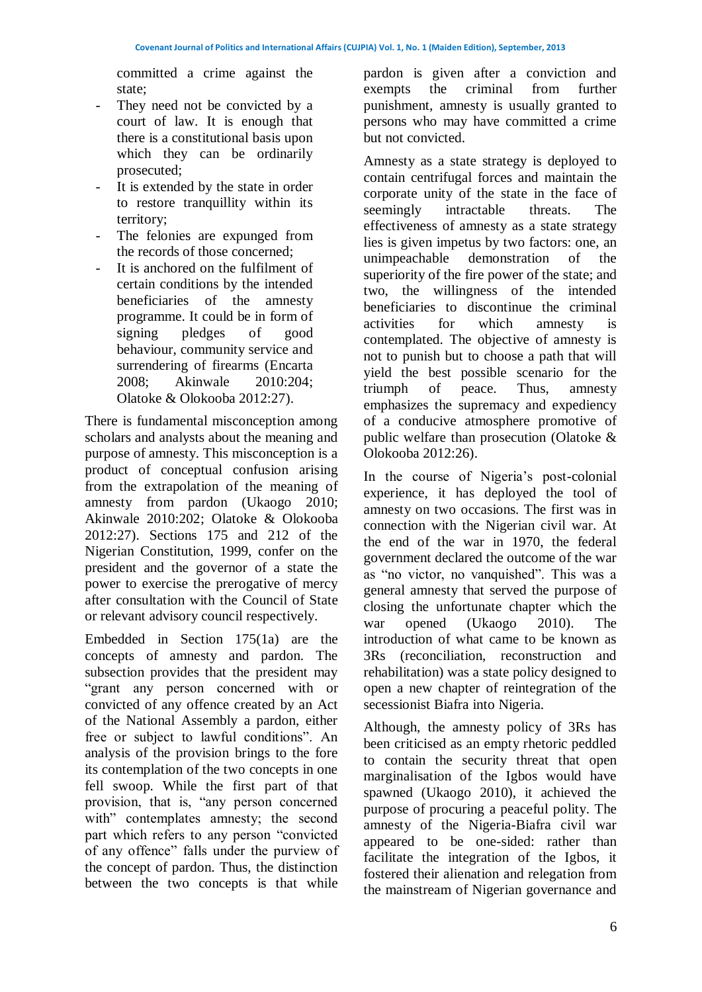committed a crime against the state;

- They need not be convicted by a court of law. It is enough that there is a constitutional basis upon which they can be ordinarily prosecuted;
- It is extended by the state in order to restore tranquillity within its territory;
- The felonies are expunged from the records of those concerned;
- It is anchored on the fulfilment of certain conditions by the intended beneficiaries of the amnesty programme. It could be in form of signing pledges of good behaviour, community service and surrendering of firearms (Encarta 2008; Akinwale 2010:204; Olatoke & Olokooba 2012:27).

There is fundamental misconception among scholars and analysts about the meaning and purpose of amnesty. This misconception is a product of conceptual confusion arising from the extrapolation of the meaning of amnesty from pardon (Ukaogo 2010; Akinwale 2010:202; Olatoke & Olokooba 2012:27). Sections 175 and 212 of the Nigerian Constitution, 1999, confer on the president and the governor of a state the power to exercise the prerogative of mercy after consultation with the Council of State or relevant advisory council respectively.

Embedded in Section 175(1a) are the concepts of amnesty and pardon. The subsection provides that the president may "grant any person concerned with or convicted of any offence created by an Act of the National Assembly a pardon, either free or subject to lawful conditions". An analysis of the provision brings to the fore its contemplation of the two concepts in one fell swoop. While the first part of that provision, that is, "any person concerned with" contemplates amnesty; the second part which refers to any person "convicted of any offence" falls under the purview of the concept of pardon. Thus, the distinction between the two concepts is that while

pardon is given after a conviction and exempts the criminal from further punishment, amnesty is usually granted to persons who may have committed a crime but not convicted.

Amnesty as a state strategy is deployed to contain centrifugal forces and maintain the corporate unity of the state in the face of seemingly intractable threats. The effectiveness of amnesty as a state strategy lies is given impetus by two factors: one, an unimpeachable demonstration of the superiority of the fire power of the state; and two, the willingness of the intended beneficiaries to discontinue the criminal activities for which amnesty is contemplated. The objective of amnesty is not to punish but to choose a path that will yield the best possible scenario for the triumph of peace. Thus, amnesty emphasizes the supremacy and expediency of a conducive atmosphere promotive of public welfare than prosecution (Olatoke & Olokooba 2012:26).

In the course of Nigeria's post-colonial experience, it has deployed the tool of amnesty on two occasions. The first was in connection with the Nigerian civil war. At the end of the war in 1970, the federal government declared the outcome of the war as "no victor, no vanquished". This was a general amnesty that served the purpose of closing the unfortunate chapter which the war opened (Ukaogo 2010). The introduction of what came to be known as 3Rs (reconciliation, reconstruction and rehabilitation) was a state policy designed to open a new chapter of reintegration of the secessionist Biafra into Nigeria.

Although, the amnesty policy of 3Rs has been criticised as an empty rhetoric peddled to contain the security threat that open marginalisation of the Igbos would have spawned (Ukaogo 2010), it achieved the purpose of procuring a peaceful polity. The amnesty of the Nigeria-Biafra civil war appeared to be one-sided: rather than facilitate the integration of the Igbos, it fostered their alienation and relegation from the mainstream of Nigerian governance and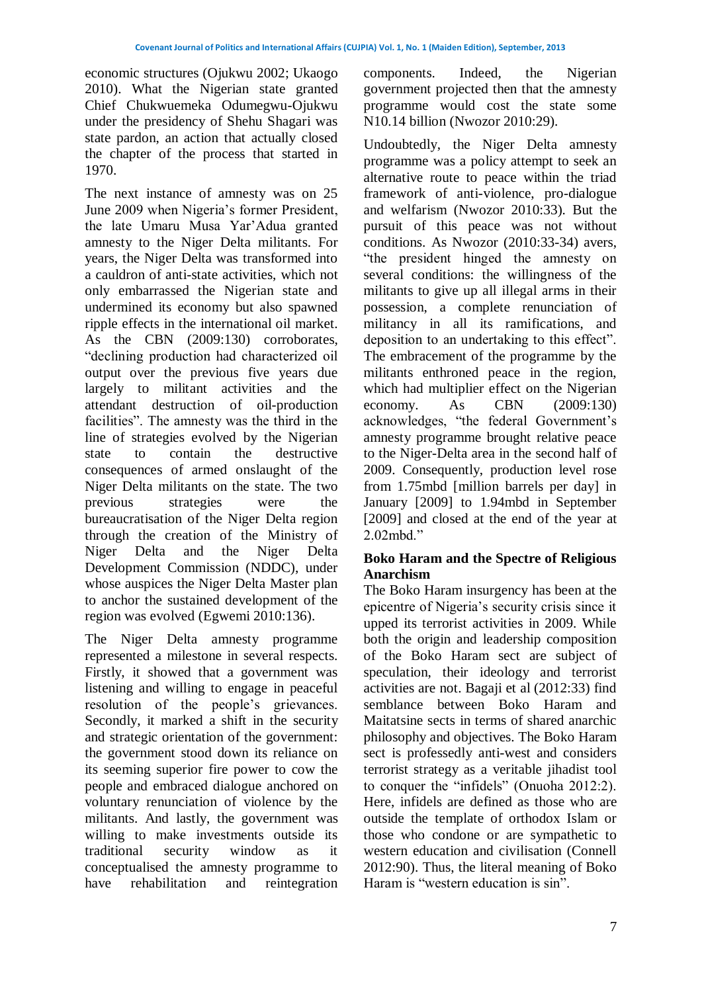economic structures (Ojukwu 2002; Ukaogo 2010). What the Nigerian state granted Chief Chukwuemeka Odumegwu-Ojukwu under the presidency of Shehu Shagari was state pardon, an action that actually closed the chapter of the process that started in 1970.

The next instance of amnesty was on 25 June 2009 when Nigeria's former President, the late Umaru Musa Yar'Adua granted amnesty to the Niger Delta militants. For years, the Niger Delta was transformed into a cauldron of anti-state activities, which not only embarrassed the Nigerian state and undermined its economy but also spawned ripple effects in the international oil market. As the CBN (2009:130) corroborates, "declining production had characterized oil output over the previous five years due largely to militant activities and the attendant destruction of oil-production facilities". The amnesty was the third in the line of strategies evolved by the Nigerian state to contain the destructive consequences of armed onslaught of the Niger Delta militants on the state. The two previous strategies were the bureaucratisation of the Niger Delta region through the creation of the Ministry of Niger Delta and the Niger Delta Development Commission (NDDC), under whose auspices the Niger Delta Master plan to anchor the sustained development of the region was evolved (Egwemi 2010:136).

The Niger Delta amnesty programme represented a milestone in several respects. Firstly, it showed that a government was listening and willing to engage in peaceful resolution of the people's grievances. Secondly, it marked a shift in the security and strategic orientation of the government: the government stood down its reliance on its seeming superior fire power to cow the people and embraced dialogue anchored on voluntary renunciation of violence by the militants. And lastly, the government was willing to make investments outside its traditional security window as it conceptualised the amnesty programme to have rehabilitation and reintegration

components. Indeed, the Nigerian government projected then that the amnesty programme would cost the state some N10.14 billion (Nwozor 2010:29).

Undoubtedly, the Niger Delta amnesty programme was a policy attempt to seek an alternative route to peace within the triad framework of anti-violence, pro-dialogue and welfarism (Nwozor 2010:33). But the pursuit of this peace was not without conditions. As Nwozor (2010:33-34) avers, "the president hinged the amnesty on several conditions: the willingness of the militants to give up all illegal arms in their possession, a complete renunciation of militancy in all its ramifications, and deposition to an undertaking to this effect". The embracement of the programme by the militants enthroned peace in the region, which had multiplier effect on the Nigerian economy. As CBN (2009:130) acknowledges, "the federal Government's amnesty programme brought relative peace to the Niger-Delta area in the second half of 2009. Consequently, production level rose from 1.75mbd [million barrels per day] in January [2009] to 1.94mbd in September [2009] and closed at the end of the year at 2.02mbd."

## **Boko Haram and the Spectre of Religious Anarchism**

The Boko Haram insurgency has been at the epicentre of Nigeria's security crisis since it upped its terrorist activities in 2009. While both the origin and leadership composition of the Boko Haram sect are subject of speculation, their ideology and terrorist activities are not. Bagaji et al (2012:33) find semblance between Boko Haram and Maitatsine sects in terms of shared anarchic philosophy and objectives. The Boko Haram sect is professedly anti-west and considers terrorist strategy as a veritable jihadist tool to conquer the "infidels" (Onuoha 2012:2). Here, infidels are defined as those who are outside the template of orthodox Islam or those who condone or are sympathetic to western education and civilisation (Connell 2012:90). Thus, the literal meaning of Boko Haram is "western education is sin".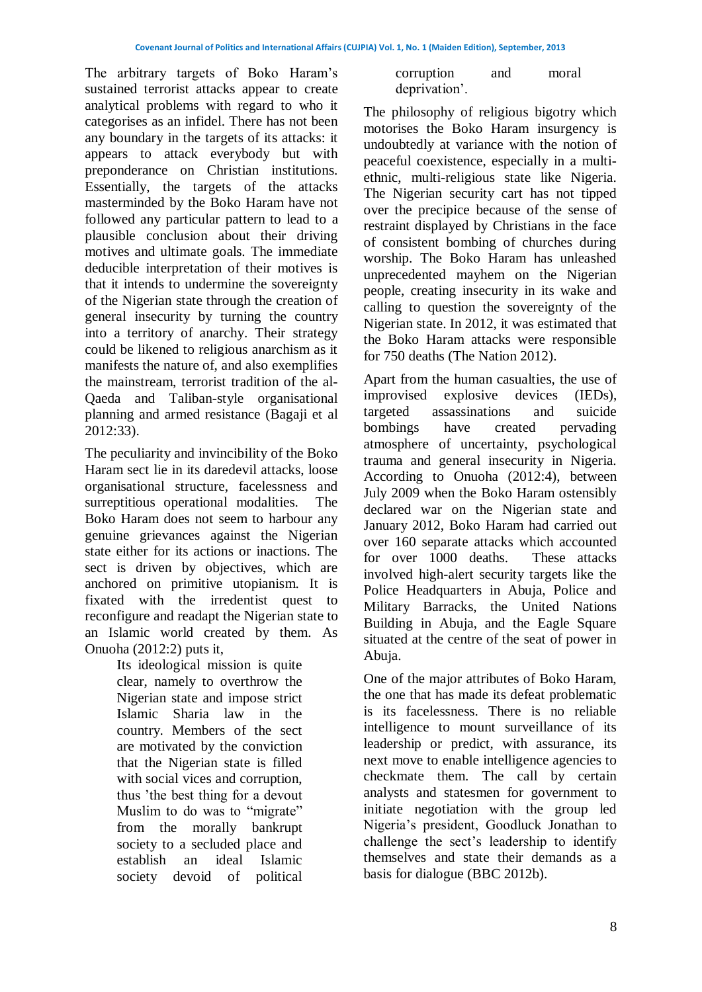The arbitrary targets of Boko Haram's sustained terrorist attacks appear to create analytical problems with regard to who it categorises as an infidel. There has not been any boundary in the targets of its attacks: it appears to attack everybody but with preponderance on Christian institutions. Essentially, the targets of the attacks masterminded by the Boko Haram have not followed any particular pattern to lead to a plausible conclusion about their driving motives and ultimate goals. The immediate deducible interpretation of their motives is that it intends to undermine the sovereignty of the Nigerian state through the creation of general insecurity by turning the country into a territory of anarchy. Their strategy could be likened to religious anarchism as it manifests the nature of, and also exemplifies the mainstream, terrorist tradition of the al-Qaeda and Taliban-style organisational planning and armed resistance (Bagaji et al 2012:33).

The peculiarity and invincibility of the Boko Haram sect lie in its daredevil attacks, loose organisational structure, facelessness and surreptitious operational modalities. The Boko Haram does not seem to harbour any genuine grievances against the Nigerian state either for its actions or inactions. The sect is driven by objectives, which are anchored on primitive utopianism. It is fixated with the irredentist quest to reconfigure and readapt the Nigerian state to an Islamic world created by them. As Onuoha (2012:2) puts it,

Its ideological mission is quite clear, namely to overthrow the Nigerian state and impose strict Islamic Sharia law in the country. Members of the sect are motivated by the conviction that the Nigerian state is filled with social vices and corruption, thus 'the best thing for a devout Muslim to do was to "migrate" from the morally bankrupt society to a secluded place and establish an ideal Islamic society devoid of political

| corruption    | and | moral |
|---------------|-----|-------|
| deprivation'. |     |       |

The philosophy of religious bigotry which motorises the Boko Haram insurgency is undoubtedly at variance with the notion of peaceful coexistence, especially in a multiethnic, multi-religious state like Nigeria. The Nigerian security cart has not tipped over the precipice because of the sense of restraint displayed by Christians in the face of consistent bombing of churches during worship. The Boko Haram has unleashed unprecedented mayhem on the Nigerian people, creating insecurity in its wake and calling to question the sovereignty of the Nigerian state. In 2012, it was estimated that the Boko Haram attacks were responsible for 750 deaths (The Nation 2012).

Apart from the human casualties, the use of improvised explosive devices (IEDs), targeted assassinations and suicide bombings have created pervading atmosphere of uncertainty, psychological trauma and general insecurity in Nigeria. According to Onuoha (2012:4), between July 2009 when the Boko Haram ostensibly declared war on the Nigerian state and January 2012, Boko Haram had carried out over 160 separate attacks which accounted for over 1000 deaths. These attacks involved high-alert security targets like the Police Headquarters in Abuja, Police and Military Barracks, the United Nations Building in Abuja, and the Eagle Square situated at the centre of the seat of power in Abuja.

One of the major attributes of Boko Haram, the one that has made its defeat problematic is its facelessness. There is no reliable intelligence to mount surveillance of its leadership or predict, with assurance, its next move to enable intelligence agencies to checkmate them. The call by certain analysts and statesmen for government to initiate negotiation with the group led Nigeria's president, Goodluck Jonathan to challenge the sect's leadership to identify themselves and state their demands as a basis for dialogue (BBC 2012b).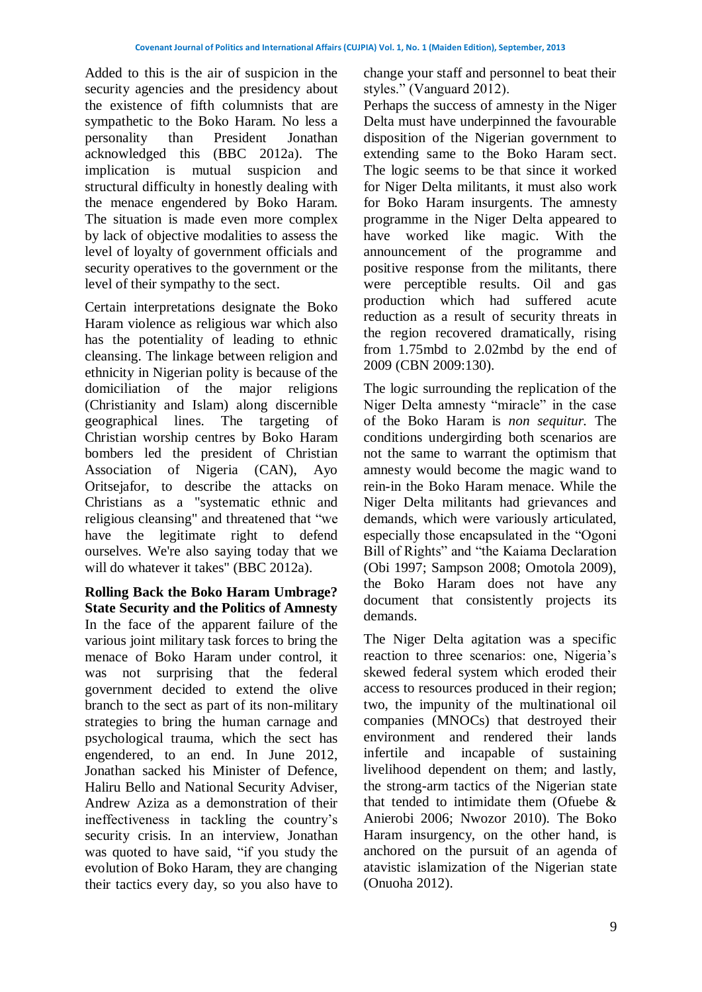Added to this is the air of suspicion in the security agencies and the presidency about the existence of fifth columnists that are sympathetic to the Boko Haram. No less a personality than President Jonathan acknowledged this (BBC 2012a). The implication is mutual suspicion and structural difficulty in honestly dealing with the menace engendered by Boko Haram. The situation is made even more complex by lack of objective modalities to assess the level of loyalty of government officials and security operatives to the government or the level of their sympathy to the sect.

Certain interpretations designate the Boko Haram violence as religious war which also has the potentiality of leading to ethnic cleansing. The linkage between religion and ethnicity in Nigerian polity is because of the domiciliation of the major religions (Christianity and Islam) along discernible geographical lines. The targeting of Christian worship centres by Boko Haram bombers led the president of Christian Association of Nigeria (CAN), Ayo Oritsejafor, to describe the attacks on Christians as a "systematic ethnic and religious cleansing" and threatened that "we have the legitimate right to defend ourselves. We're also saying today that we will do whatever it takes" (BBC 2012a).

**Rolling Back the Boko Haram Umbrage? State Security and the Politics of Amnesty** In the face of the apparent failure of the various joint military task forces to bring the menace of Boko Haram under control, it was not surprising that the federal government decided to extend the olive branch to the sect as part of its non-military strategies to bring the human carnage and psychological trauma, which the sect has engendered, to an end. In June 2012, Jonathan sacked his Minister of Defence, Haliru Bello and National Security Adviser, Andrew Aziza as a demonstration of their ineffectiveness in tackling the country's security crisis. In an interview, Jonathan was quoted to have said, "if you study the evolution of Boko Haram, they are changing their tactics every day, so you also have to

change your staff and personnel to beat their styles." (Vanguard 2012).

Perhaps the success of amnesty in the Niger Delta must have underpinned the favourable disposition of the Nigerian government to extending same to the Boko Haram sect. The logic seems to be that since it worked for Niger Delta militants, it must also work for Boko Haram insurgents. The amnesty programme in the Niger Delta appeared to have worked like magic. With the announcement of the programme and positive response from the militants, there were perceptible results. Oil and gas production which had suffered acute reduction as a result of security threats in the region recovered dramatically, rising from 1.75mbd to 2.02mbd by the end of 2009 (CBN 2009:130).

The logic surrounding the replication of the Niger Delta amnesty "miracle" in the case of the Boko Haram is *non sequitur.* The conditions undergirding both scenarios are not the same to warrant the optimism that amnesty would become the magic wand to rein-in the Boko Haram menace. While the Niger Delta militants had grievances and demands, which were variously articulated, especially those encapsulated in the "Ogoni Bill of Rights" and "the Kaiama Declaration (Obi 1997; Sampson 2008; Omotola 2009), the Boko Haram does not have any document that consistently projects its demands.

The Niger Delta agitation was a specific reaction to three scenarios: one, Nigeria's skewed federal system which eroded their access to resources produced in their region; two, the impunity of the multinational oil companies (MNOCs) that destroyed their environment and rendered their lands infertile and incapable of sustaining livelihood dependent on them; and lastly, the strong-arm tactics of the Nigerian state that tended to intimidate them (Ofuebe & Anierobi 2006; Nwozor 2010). The Boko Haram insurgency, on the other hand, is anchored on the pursuit of an agenda of atavistic islamization of the Nigerian state (Onuoha 2012).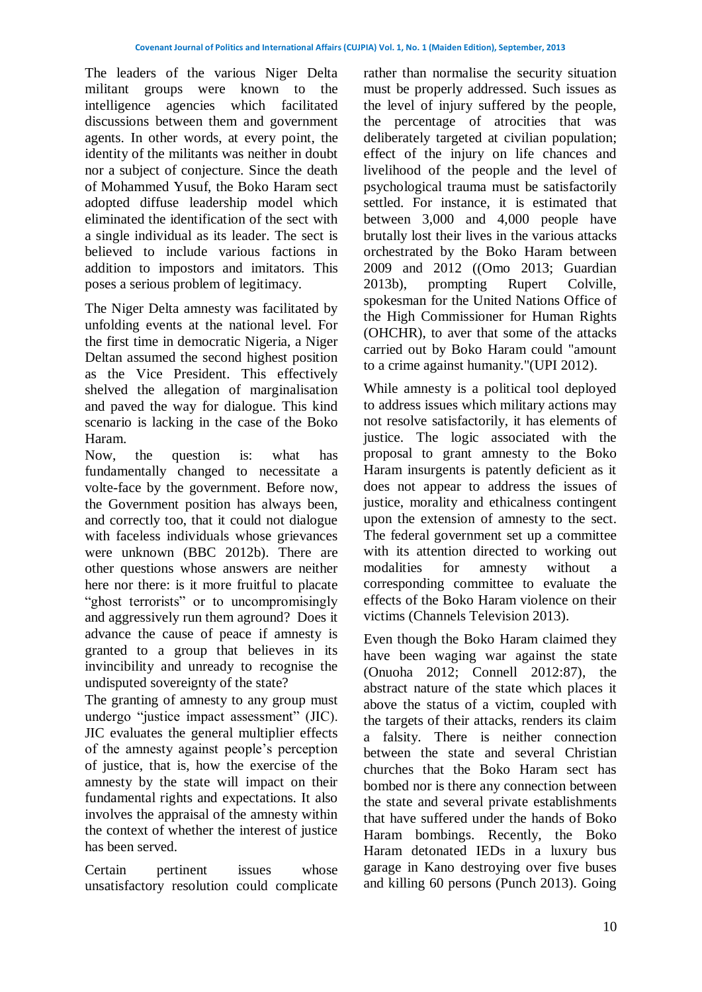The leaders of the various Niger Delta militant groups were known to the intelligence agencies which facilitated discussions between them and government agents. In other words, at every point, the identity of the militants was neither in doubt nor a subject of conjecture. Since the death of Mohammed Yusuf, the Boko Haram sect adopted diffuse leadership model which eliminated the identification of the sect with a single individual as its leader. The sect is believed to include various factions in addition to impostors and imitators. This poses a serious problem of legitimacy.

The Niger Delta amnesty was facilitated by unfolding events at the national level. For the first time in democratic Nigeria, a Niger Deltan assumed the second highest position as the Vice President. This effectively shelved the allegation of marginalisation and paved the way for dialogue. This kind scenario is lacking in the case of the Boko Haram.

Now, the question is: what has fundamentally changed to necessitate a volte-face by the government. Before now, the Government position has always been, and correctly too, that it could not dialogue with faceless individuals whose grievances were unknown (BBC 2012b). There are other questions whose answers are neither here nor there: is it more fruitful to placate "ghost terrorists" or to uncompromisingly and aggressively run them aground? Does it advance the cause of peace if amnesty is granted to a group that believes in its invincibility and unready to recognise the undisputed sovereignty of the state?

The granting of amnesty to any group must undergo "justice impact assessment" (JIC). JIC evaluates the general multiplier effects of the amnesty against people's perception of justice, that is, how the exercise of the amnesty by the state will impact on their fundamental rights and expectations. It also involves the appraisal of the amnesty within the context of whether the interest of justice has been served.

Certain pertinent issues whose unsatisfactory resolution could complicate rather than normalise the security situation must be properly addressed. Such issues as the level of injury suffered by the people, the percentage of atrocities that was deliberately targeted at civilian population; effect of the injury on life chances and livelihood of the people and the level of psychological trauma must be satisfactorily settled. For instance, it is estimated that between 3,000 and 4,000 people have brutally lost their lives in the various attacks orchestrated by the Boko Haram between 2009 and 2012 ((Omo 2013; Guardian 2013b), prompting Rupert Colville, spokesman for the United Nations Office of the High Commissioner for Human Rights (OHCHR), to aver that some of the attacks carried out by Boko Haram could "amount to a crime against humanity."(UPI 2012).

While amnesty is a political tool deployed to address issues which military actions may not resolve satisfactorily, it has elements of justice. The logic associated with the proposal to grant amnesty to the Boko Haram insurgents is patently deficient as it does not appear to address the issues of justice, morality and ethicalness contingent upon the extension of amnesty to the sect. The federal government set up a committee with its attention directed to working out modalities for amnesty without a corresponding committee to evaluate the effects of the Boko Haram violence on their victims (Channels Television 2013).

Even though the Boko Haram claimed they have been waging war against the state (Onuoha 2012; Connell 2012:87), the abstract nature of the state which places it above the status of a victim, coupled with the targets of their attacks, renders its claim a falsity. There is neither connection between the state and several Christian churches that the Boko Haram sect has bombed nor is there any connection between the state and several private establishments that have suffered under the hands of Boko Haram bombings. Recently, the Boko Haram detonated IEDs in a luxury bus garage in Kano destroying over five buses and killing 60 persons (Punch 2013). Going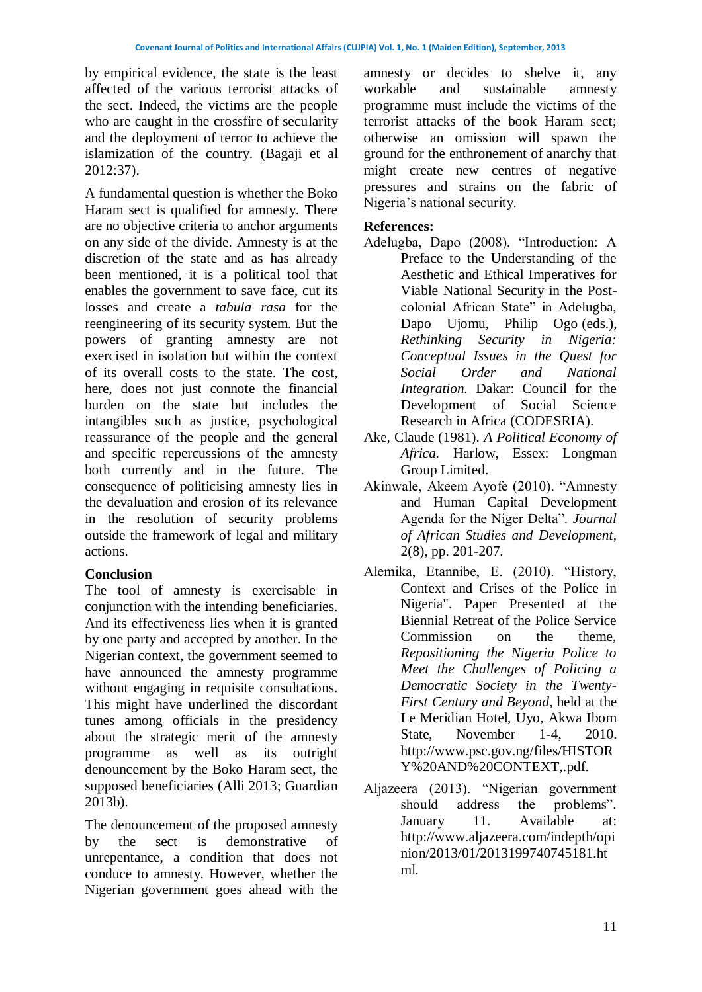by empirical evidence, the state is the least affected of the various terrorist attacks of the sect. Indeed, the victims are the people who are caught in the crossfire of secularity and the deployment of terror to achieve the islamization of the country. (Bagaji et al 2012:37).

A fundamental question is whether the Boko Haram sect is qualified for amnesty. There are no objective criteria to anchor arguments on any side of the divide. Amnesty is at the discretion of the state and as has already been mentioned, it is a political tool that enables the government to save face, cut its losses and create a *tabula rasa* for the reengineering of its security system. But the powers of granting amnesty are not exercised in isolation but within the context of its overall costs to the state. The cost, here, does not just connote the financial burden on the state but includes the intangibles such as justice, psychological reassurance of the people and the general and specific repercussions of the amnesty both currently and in the future. The consequence of politicising amnesty lies in the devaluation and erosion of its relevance in the resolution of security problems outside the framework of legal and military actions.

## **Conclusion**

The tool of amnesty is exercisable in conjunction with the intending beneficiaries. And its effectiveness lies when it is granted by one party and accepted by another. In the Nigerian context, the government seemed to have announced the amnesty programme without engaging in requisite consultations. This might have underlined the discordant tunes among officials in the presidency about the strategic merit of the amnesty programme as well as its outright denouncement by the Boko Haram sect, the supposed beneficiaries (Alli 2013; Guardian 2013b).

The denouncement of the proposed amnesty by the sect is demonstrative of unrepentance, a condition that does not conduce to amnesty. However, whether the Nigerian government goes ahead with the

amnesty or decides to shelve it, any workable and sustainable amnesty programme must include the victims of the terrorist attacks of the book Haram sect; otherwise an omission will spawn the ground for the enthronement of anarchy that might create new centres of negative pressures and strains on the fabric of Nigeria's national security.

## **References:**

- Adelugba, Dapo (2008). "Introduction: A Preface to the Understanding of the Aesthetic and Ethical Imperatives for Viable National Security in the Postcolonial African State" in Adelugba, Dapo Ujomu, Philip Ogo (eds.), *Rethinking Security in Nigeria: Conceptual Issues in the Quest for Social Order and National Integration.* Dakar: Council for the Development of Social Science Research in Africa (CODESRIA).
- Ake, Claude (1981). *A Political Economy of Africa.* Harlow, Essex: Longman Group Limited.
- Akinwale, Akeem Ayofe (2010). "Amnesty and Human Capital Development Agenda for the Niger Delta". *Journal of African Studies and Development*, 2(8), pp. 201-207.
- Alemika, Etannibe, E. (2010). "History, Context and Crises of the Police in Nigeria". Paper Presented at the Biennial Retreat of the Police Service Commission on the theme, *Repositioning the Nigeria Police to Meet the Challenges of Policing a Democratic Society in the Twenty-First Century and Beyond*, held at the Le Meridian Hotel, Uyo, Akwa Ibom State, November 1-4, 2010. [http://www.psc.gov.ng/files/HISTOR](http://www.psc.gov.ng/files/HISTORY%20AND%20CONTEXT,.pdf) [Y%20AND%20CONTEXT,.pdf.](http://www.psc.gov.ng/files/HISTORY%20AND%20CONTEXT,.pdf)
- Aljazeera (2013). "Nigerian government should address the problems". January 11. Available at: [http://www.aljazeera.com/indepth/opi](http://www.aljazeera.com/indepth/opinion/2013/01/2013199740745181.html) [nion/2013/01/2013199740745181.ht](http://www.aljazeera.com/indepth/opinion/2013/01/2013199740745181.html) [ml.](http://www.aljazeera.com/indepth/opinion/2013/01/2013199740745181.html)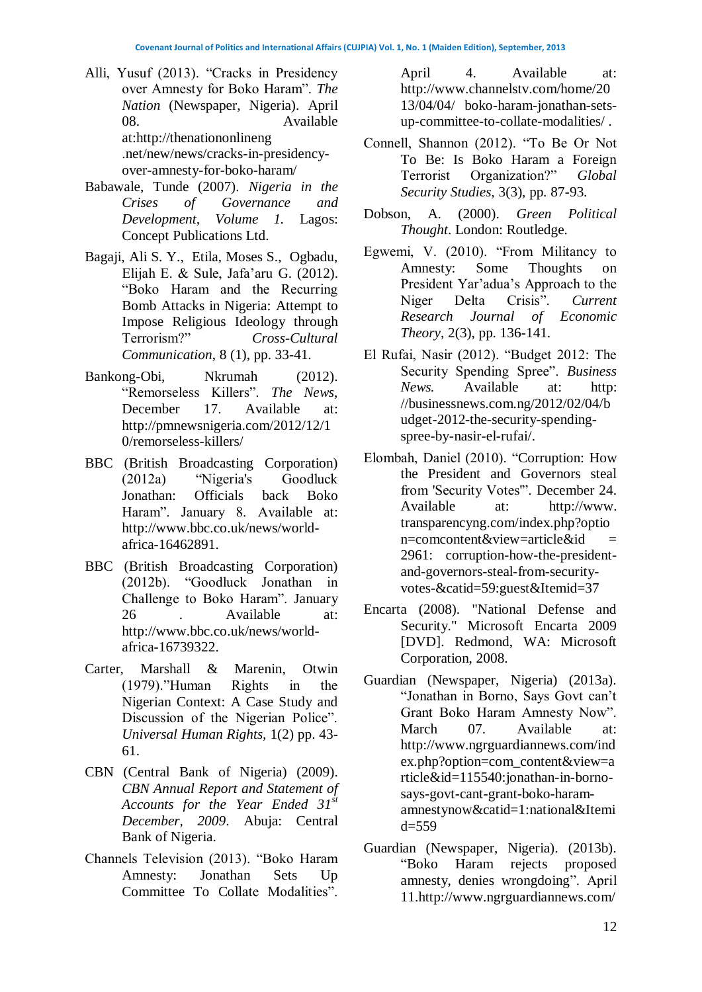- Alli, Yusuf (2013). "Cracks in Presidency over Amnesty for Boko Haram". *The Nation* (Newspaper, Nigeria). April 08. Available at:http://thenationonlineng .net/new/news/cracks-in-presidencyover-amnesty-for-boko-haram/
- Babawale, Tunde (2007). *Nigeria in the Crises of Governance and Development, Volume 1.* Lagos: Concept Publications Ltd.
- Bagaji, Ali S. Y., Etila, Moses S., Ogbadu, Elijah E. & Sule, Jafa'aru G. (2012). "Boko Haram and the Recurring Bomb Attacks in Nigeria: Attempt to Impose Religious Ideology through Terrorism?" *Cross-Cultural Communication*, 8 (1), pp. 33-41.
- Bankong-Obi, Nkrumah (2012). "Remorseless Killers". *The News*, December 17. Available at: [http://pmnewsnigeria.com/2012/12/1](http://pmnewsnigeria.com/2012/12/10/remorseless-killers/) [0/remorseless-killers/](http://pmnewsnigeria.com/2012/12/10/remorseless-killers/)
- BBC (British Broadcasting Corporation) (2012a) "Nigeria's Goodluck Jonathan: Officials back Boko Haram". January 8. Available at: [http://www.bbc.co.uk/news/world](http://www.bbc.co.uk/news/world-africa-16462891)[africa-16462891.](http://www.bbc.co.uk/news/world-africa-16462891)
- BBC (British Broadcasting Corporation) (2012b). "Goodluck Jonathan in Challenge to Boko Haram". January 26 . Available at: [http://www.bbc.co.uk/news/world](http://www.bbc.co.uk/news/world-africa-16739322)[africa-16739322.](http://www.bbc.co.uk/news/world-africa-16739322)
- Carter, Marshall & Marenin, Otwin (1979)."Human Rights in the Nigerian Context: A Case Study and Discussion of the Nigerian Police". *Universal Human Rights,* 1(2) pp. 43- 61.
- CBN (Central Bank of Nigeria) (2009). *CBN Annual Report and Statement of Accounts for the Year Ended 31st December, 2009*. Abuja: Central Bank of Nigeria.
- Channels Television (2013). "Boko Haram Amnesty: Jonathan Sets Up Committee To Collate Modalities".

April 4. Available at: [http://www.channelstv.com/home/20](http://www.channelstv.com/home/2013/04/04/%20boko-haram-jonathan-sets-up-committee-to-collate-modalities/) [13/04/04/ boko-haram-jonathan-sets](http://www.channelstv.com/home/2013/04/04/%20boko-haram-jonathan-sets-up-committee-to-collate-modalities/)[up-committee-to-collate-modalities/](http://www.channelstv.com/home/2013/04/04/%20boko-haram-jonathan-sets-up-committee-to-collate-modalities/) .

- Connell, Shannon (2012). "To Be Or Not To Be: Is Boko Haram a Foreign Terrorist Organization?" *Global Security Studies,* 3(3), pp. 87-93.
- Dobson, A. (2000). *Green Political Thought*. London: Routledge.
- Egwemi, V. (2010). "From Militancy to Amnesty: Some Thoughts on President Yar'adua's Approach to the Niger Delta Crisis". *Current Research Journal of Economic Theory*, 2(3), pp. 136-141.
- El Rufai, Nasir (2012). "Budget 2012: The Security Spending Spree". *Business News.* Available at: [http:](http://businessnews.com.ng/2012/02/04/budget-2012-the-security-spending-spree-by-nasir-el-rufai/) [//businessnews.com.ng/2012/02/04/b](http://businessnews.com.ng/2012/02/04/budget-2012-the-security-spending-spree-by-nasir-el-rufai/) [udget-2012-the-security-spending](http://businessnews.com.ng/2012/02/04/budget-2012-the-security-spending-spree-by-nasir-el-rufai/)[spree-by-nasir-el-rufai/.](http://businessnews.com.ng/2012/02/04/budget-2012-the-security-spending-spree-by-nasir-el-rufai/)
- Elombah, Daniel (2010). ["Corruption: How](http://www.transparencyng.com/index.php/contributions/60-guest/2961-corruption-how-the-president-and-governors-steal-from-security-votes-)  [the President and Governors steal](http://www.transparencyng.com/index.php/contributions/60-guest/2961-corruption-how-the-president-and-governors-steal-from-security-votes-)  [from 'Security Votes'". D](http://www.transparencyng.com/index.php/contributions/60-guest/2961-corruption-how-the-president-and-governors-steal-from-security-votes-)ecember 24. Available at: http://www. transparencyng.com/index.php?optio  $n=constant\&view=article\&id$  = 2961: corruption-how-the-presidentand-governors-steal-from-securityvotes-&catid=59:guest&Itemid=37
- Encarta (2008). "National Defense and Security." Microsoft Encarta 2009 [DVD]. Redmond, WA: Microsoft Corporation, 2008.
- [Guardian \(Newspaper, Nigeria\) \(2013a\).](http://www.ngrguardiannews.com/index.php?option=com_content&view=article&id=115540:jonathan-in-borno-says-govt-cant-grant-boko-haram-amnesty-now&catid=1:national&Itemid=559)  ["Jonathan in Borno, Says Govt can't](http://www.ngrguardiannews.com/index.php?option=com_content&view=article&id=115540:jonathan-in-borno-says-govt-cant-grant-boko-haram-amnesty-now&catid=1:national&Itemid=559)  [Grant Boko Haram Amnesty Now".](http://www.ngrguardiannews.com/index.php?option=com_content&view=article&id=115540:jonathan-in-borno-says-govt-cant-grant-boko-haram-amnesty-now&catid=1:national&Itemid=559)  [March 07. Available at:](http://www.ngrguardiannews.com/index.php?option=com_content&view=article&id=115540:jonathan-in-borno-says-govt-cant-grant-boko-haram-amnesty-now&catid=1:national&Itemid=559) [http://www.ngrguardiannews.com/ind](http://www.ngrguardiannews.com/index.php?option=com_content&view=article&id=115540:jonathan-in-borno-says-govt-cant-grant-boko-haram-amnestynow&catid=1:national&Itemid=559) [ex.php?option=com\\_content&view=a](http://www.ngrguardiannews.com/index.php?option=com_content&view=article&id=115540:jonathan-in-borno-says-govt-cant-grant-boko-haram-amnestynow&catid=1:national&Itemid=559) [rticle&id=115540:jonathan-in-borno](http://www.ngrguardiannews.com/index.php?option=com_content&view=article&id=115540:jonathan-in-borno-says-govt-cant-grant-boko-haram-amnestynow&catid=1:national&Itemid=559)[says-govt-cant-grant-boko-haram](http://www.ngrguardiannews.com/index.php?option=com_content&view=article&id=115540:jonathan-in-borno-says-govt-cant-grant-boko-haram-amnestynow&catid=1:national&Itemid=559)[amnestynow&catid=1:national&Itemi](http://www.ngrguardiannews.com/index.php?option=com_content&view=article&id=115540:jonathan-in-borno-says-govt-cant-grant-boko-haram-amnestynow&catid=1:national&Itemid=559)  $d = 559$
- Guardian (Newspaper, Nigeria). (2013b). ["Boko Haram rejects proposed](http://www.ngrguardiannews.com/index.php?option=com_content&view=article&id=118617:boko-haram-rejects-proposed-amnesty-denies-wrongdoing&catid=1:national&Itemid=559)  [amnesty, denies wrongdoing"](http://www.ngrguardiannews.com/index.php?option=com_content&view=article&id=118617:boko-haram-rejects-proposed-amnesty-denies-wrongdoing&catid=1:national&Itemid=559). April 11[.http://www.ngrguardiannews.com/](http://www.ngrguardiannews.com/index.php?option=com_content%20&view=article&id=118617:boko-haram-rejects-proposed-amnesty-denieswrongdoing&catid=1:national&Itemid=559)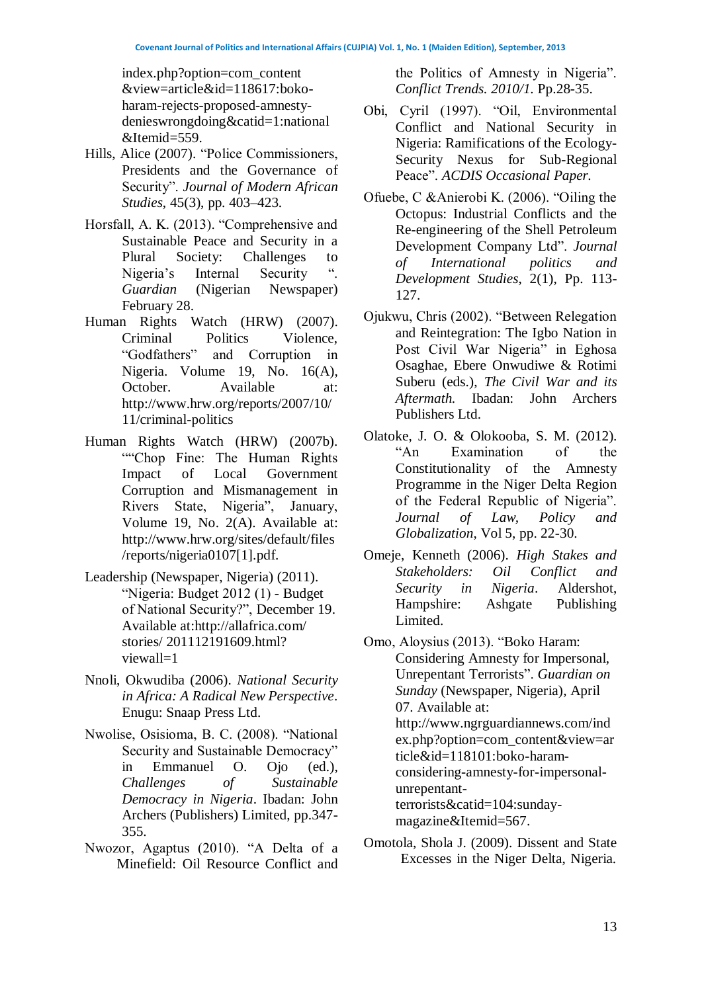index.php?option=com\_content &view=article&id=118617:bokoharam-rejects-proposed-amnestydenieswrongdoing&catid=1:national &Itemid=559.

- Hills, Alice (2007). "Police Commissioners, Presidents and the Governance of Security". *Journal of Modern African Studies*, 45(3), pp. 403–423.
- Horsfall, A. K. (2013). "Comprehensive and Sustainable Peace and Security in a Plural Society: Challenges to Nigeria's Internal Security ". *Guardian* (Nigerian Newspaper) February 28.
- Human Rights Watch (HRW) (2007). Criminal Politics Violence, "Godfathers" and Corruption in Nigeria. Volume 19, No. 16(A), October. Available at: [http://www.hrw.org/reports/2007/10/](http://www.hrw.org/reports/2007/10/11/criminal-politics) [11/criminal-politics](http://www.hrw.org/reports/2007/10/11/criminal-politics)
- Human Rights Watch (HRW) (2007b). ""Chop Fine: The Human Rights" Impact of Local Government Corruption and Mismanagement in Rivers State, Nigeria", January, Volume 19, No. 2(A). Available at: [http://www.hrw.org/sites/default/files](http://www.hrw.org/sites/default/files/reports/nigeria0107%5b1%5d.pdf) [/reports/nigeria0107\[1\].pdf.](http://www.hrw.org/sites/default/files/reports/nigeria0107%5b1%5d.pdf)
- Leadership (Newspaper, Nigeria) (2011). "Nigeria: Budget 2012 (1) - Budget of National Security?", December 19. Available at[:http://allafrica.com/](http://allafrica.com/%20stories/%20201112191609.html?%20viewall=1) stories/ [201112191609.html?](http://allafrica.com/%20stories/%20201112191609.html?%20viewall=1) [viewall=1](http://allafrica.com/%20stories/%20201112191609.html?%20viewall=1)
- Nnoli, Okwudiba (2006). *National Security in Africa: A Radical New Perspective*. Enugu: Snaap Press Ltd.
- Nwolise, Osisioma, B. C. (2008). "National Security and Sustainable Democracy" in Emmanuel O. Ojo (ed.), *Challenges of Sustainable Democracy in Nigeria*. Ibadan: John Archers (Publishers) Limited, pp.347- 355.
- Nwozor, Agaptus (2010). "A Delta of a Minefield: Oil Resource Conflict and

the Politics of Amnesty in Nigeria". *Conflict Trends. 2010/1.* Pp.28-35.

- Obi, Cyril (1997). "Oil, Environmental Conflict and National Security in Nigeria: Ramifications of the Ecology-Security Nexus for Sub-Regional Peace". *ACDIS Occasional Paper.*
- Ofuebe, C &Anierobi K. (2006). "Oiling the Octopus: Industrial Conflicts and the Re-engineering of the Shell Petroleum Development Company Ltd". *Journal of International politics and Development Studies*, 2(1), Pp. 113- 127.
- Ojukwu, Chris (2002). "Between Relegation and Reintegration: The Igbo Nation in Post Civil War Nigeria" in Eghosa Osaghae, Ebere Onwudiwe & Rotimi Suberu (eds.), *The Civil War and its Aftermath.* Ibadan: John Archers Publishers Ltd.
- Olatoke, J. O. & Olokooba, S. M. (2012). "An Examination of the Constitutionality of the Amnesty Programme in the Niger Delta Region of the Federal Republic of Nigeria". *Journal of Law, Policy and Globalization*, Vol 5, pp. 22-30.
- Omeje, Kenneth (2006). *High Stakes and Stakeholders: Oil Conflict and Security in Nigeria*. Aldershot, Hampshire: Ashgate Publishing Limited.
- Omo, Aloysius (2013). ["Boko Haram:](http://www.ngrguardiannews.com/index.php?option=com_content&view=article&id=118101:boko-haram-considering-amnesty-for-impersonal-unrepentant-terrorists&catid=104:sunday-magazine&Itemid=567)  [Considering Amnesty for Impersonal,](http://www.ngrguardiannews.com/index.php?option=com_content&view=article&id=118101:boko-haram-considering-amnesty-for-impersonal-unrepentant-terrorists&catid=104:sunday-magazine&Itemid=567)  [Unrepentant Terrorists"](http://www.ngrguardiannews.com/index.php?option=com_content&view=article&id=118101:boko-haram-considering-amnesty-for-impersonal-unrepentant-terrorists&catid=104:sunday-magazine&Itemid=567). *Guardian on Sunday* (Newspaper, Nigeria)*,* April 07. Available at: [http://www.ngrguardiannews.com/ind](http://www.ngrguardiannews.com/index.php?option=com_content&view=article&id=118101:boko-haram-considering-amnesty-for-impersonal-unrepentant-terrorists&catid=104:sunday-magazine&Itemid=567) [ex.php?option=com\\_content&view=ar](http://www.ngrguardiannews.com/index.php?option=com_content&view=article&id=118101:boko-haram-considering-amnesty-for-impersonal-unrepentant-terrorists&catid=104:sunday-magazine&Itemid=567) [ticle&id=118101:boko-haram](http://www.ngrguardiannews.com/index.php?option=com_content&view=article&id=118101:boko-haram-considering-amnesty-for-impersonal-unrepentant-terrorists&catid=104:sunday-magazine&Itemid=567)[considering-amnesty-for-impersonal](http://www.ngrguardiannews.com/index.php?option=com_content&view=article&id=118101:boko-haram-considering-amnesty-for-impersonal-unrepentant-terrorists&catid=104:sunday-magazine&Itemid=567)[unrepentant](http://www.ngrguardiannews.com/index.php?option=com_content&view=article&id=118101:boko-haram-considering-amnesty-for-impersonal-unrepentant-terrorists&catid=104:sunday-magazine&Itemid=567)[terrorists&catid=104:sunday](http://www.ngrguardiannews.com/index.php?option=com_content&view=article&id=118101:boko-haram-considering-amnesty-for-impersonal-unrepentant-terrorists&catid=104:sunday-magazine&Itemid=567)[magazine&Itemid=567.](http://www.ngrguardiannews.com/index.php?option=com_content&view=article&id=118101:boko-haram-considering-amnesty-for-impersonal-unrepentant-terrorists&catid=104:sunday-magazine&Itemid=567)
- Omotola, Shola J. (2009). Dissent and State Excesses in the Niger Delta, Nigeria.